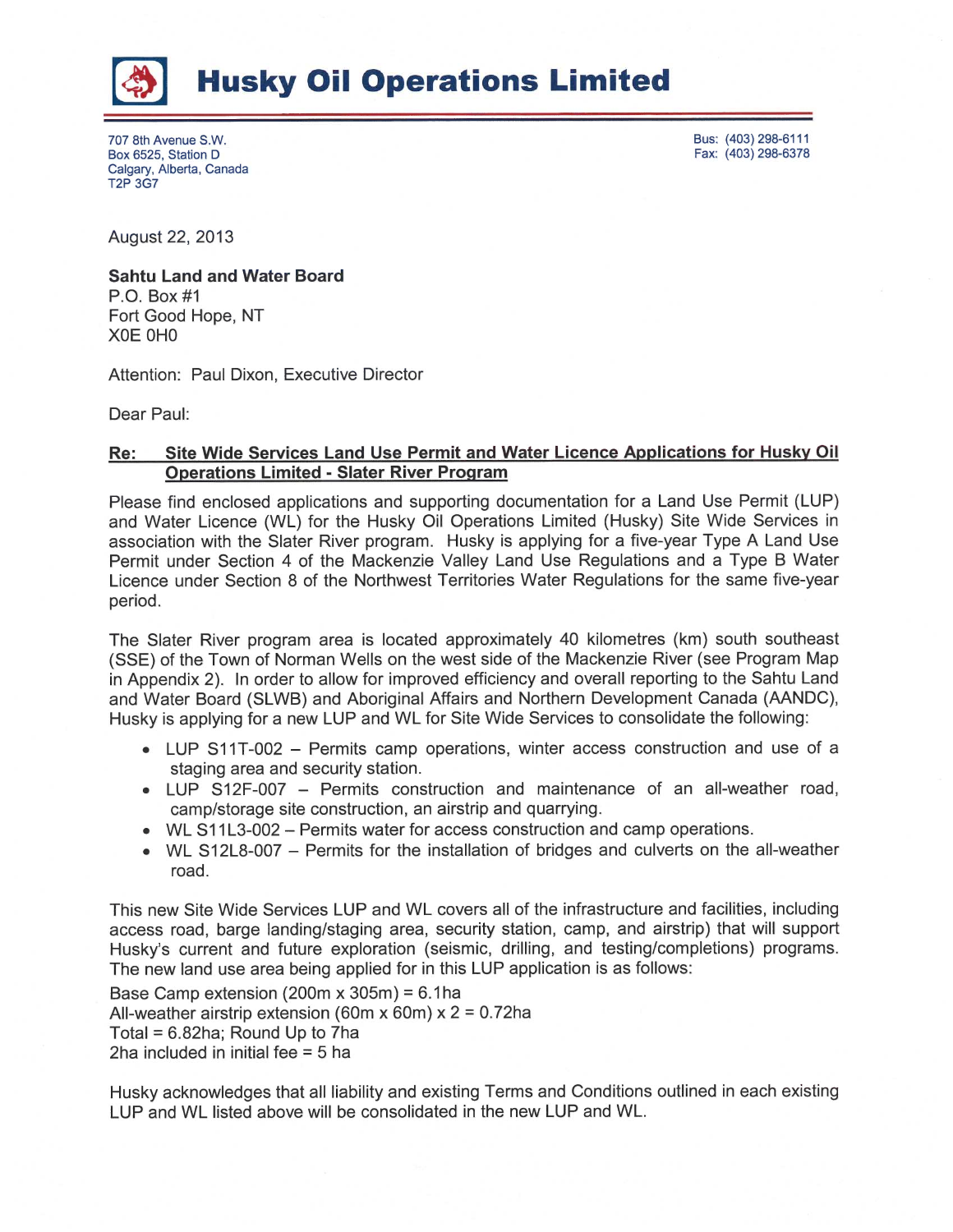

## **Husky Oil Operations Limited**

707 8th Avenue S.W. Box 6525, Station D Calgary, Alberta, Canada T2P 3G7

Bus: (403) 298-6111 Fax: (403) 298-6378

August 22, 2013

## Sahtu Land and Water Board P.O. Box #1 Fort Good Hope, NT XOE OHO

Attention: Paul Dixon, Executive Director

Dear Paul:

## Re: Site Wide Services Land Use Permit and Water Licence Applications for Husky Oil Operations Limited - Slater River Program

Please find enclosed applications and supporting documentation for a Land Use Permit (LUP) and Water Licence (WL) for the Husky Oil Operations Limited (Husky) Site Wide Services in association with the Slater River program. Husky is applying for afive-year Type A Land Use Permit under Section 4 of the Mackenzie Valley Land Use Regulations and a Type B Water Licence under Section 8 of the Northwest Territories Water Regulations for the same five-year period.

The Slater River program area is located approximately 40 kilometres (km) south southeast (SSE) of the Town of Norman Wells on the west side of the Mackenzie River (see Program Map in Appendix 2). In order to allow for improved efficiency and overall reporting to the Sahtu Land and Water Board (SLWB) and Aboriginal Affairs and Northern Development Canada (AANDC), Husky is applying for a new LUP and WL for Site Wide Services to consolidate the following:

- LUP S11T-002 Permits camp operations, winter access construction and use of a staging area and security station.
- LUP S12F-007 Permits construction and maintenance of an all-weather road, camp/storage site construction, an airstrip and quarrying.
- WL S11L3-002 Permits water for access construction and camp operations.
- WL S12L8-007 Permits for the installation of bridges and culverts on the all-weather road.

This new Site Wide Services LUP and WL covers all of the infrastructure and facilities, including access road, barge landing/staging area, security station, camp, and airstrip) that will support Husky's current and future exploration (seismic, drilling, and testing/completions) programs. The new land use area being applied for in this LUP application is as follows:

Base Camp extension (200m x 305m) =  $6.1$ ha All-weather airstrip extension (60m x 60m)  $x$  2 = 0.72ha Total = 6.82ha; Round Up to 7ha 2ha included in initial fee = 5 ha

Husky acknowledges that all liability and existing Terms and Conditions outlined in each existing LUP and WL listed above will be consolidated in the new LUP and WL.